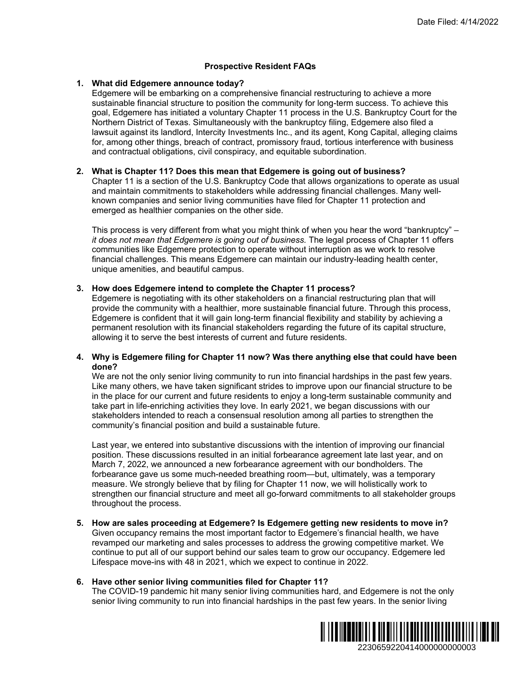# **Prospective Resident FAQs**

#### **1. What did Edgemere announce today?**

Edgemere will be embarking on a comprehensive financial restructuring to achieve a more sustainable financial structure to position the community for long-term success. To achieve this goal, Edgemere has initiated a voluntary Chapter 11 process in the U.S. Bankruptcy Court for the Northern District of Texas. Simultaneously with the bankruptcy filing, Edgemere also filed a lawsuit against its landlord, Intercity Investments Inc., and its agent, Kong Capital, alleging claims for, among other things, breach of contract, promissory fraud, tortious interference with business and contractual obligations, civil conspiracy, and equitable subordination. Date Filed: 4/14/2022<br>
gto achieve a more<br>
success. To achieve this<br>
s. Bankruptcy Court for the<br>
dgemera also filed a<br>
mg Capital, alleigng claims<br>
interference with business<br>
n.<br>
f business?<br>
Thusiness?<br>
Thusiness?<br>
Thus

#### **2. What is Chapter 11? Does this mean that Edgemere is going out of business?**

Chapter 11 is a section of the U.S. Bankruptcy Code that allows organizations to operate as usual and maintain commitments to stakeholders while addressing financial challenges. Many wellknown companies and senior living communities have filed for Chapter 11 protection and emerged as healthier companies on the other side.

This process is very different from what you might think of when you hear the word "bankruptcy" – *it does not mean that Edgemere is going out of business.* The legal process of Chapter 11 offers communities like Edgemere protection to operate without interruption as we work to resolve financial challenges. This means Edgemere can maintain our industry-leading health center, unique amenities, and beautiful campus.

#### **3. How does Edgemere intend to complete the Chapter 11 process?**

Edgemere is negotiating with its other stakeholders on a financial restructuring plan that will provide the community with a healthier, more sustainable financial future. Through this process, Edgemere is confident that it will gain long-term financial flexibility and stability by achieving a permanent resolution with its financial stakeholders regarding the future of its capital structure, allowing it to serve the best interests of current and future residents.

### **4. Why is Edgemere filing for Chapter 11 now? Was there anything else that could have been done?**

We are not the only senior living community to run into financial hardships in the past few years. Like many others, we have taken significant strides to improve upon our financial structure to be in the place for our current and future residents to enjoy a long-term sustainable community and take part in life-enriching activities they love. In early 2021, we began discussions with our stakeholders intended to reach a consensual resolution among all parties to strengthen the community's financial position and build a sustainable future.

Last year, we entered into substantive discussions with the intention of improving our financial position. These discussions resulted in an initial forbearance agreement late last year, and on March 7, 2022, we announced a new forbearance agreement with our bondholders. The forbearance gave us some much-needed breathing room—but, ultimately, was a temporary measure. We strongly believe that by filing for Chapter 11 now, we will holistically work to strengthen our financial structure and meet all go-forward commitments to all stakeholder groups throughout the process.

**5. How are sales proceeding at Edgemere? Is Edgemere getting new residents to move in?**  Given occupancy remains the most important factor to Edgemere's financial health, we have revamped our marketing and sales processes to address the growing competitive market. We continue to put all of our support behind our sales team to grow our occupancy. Edgemere led Lifespace move-ins with 48 in 2021, which we expect to continue in 2022.

### **6. Have other senior living communities filed for Chapter 11?**

The COVID-19 pandemic hit many senior living communities hard, and Edgemere is not the only senior living community to run into financial hardships in the past few years. In the senior living

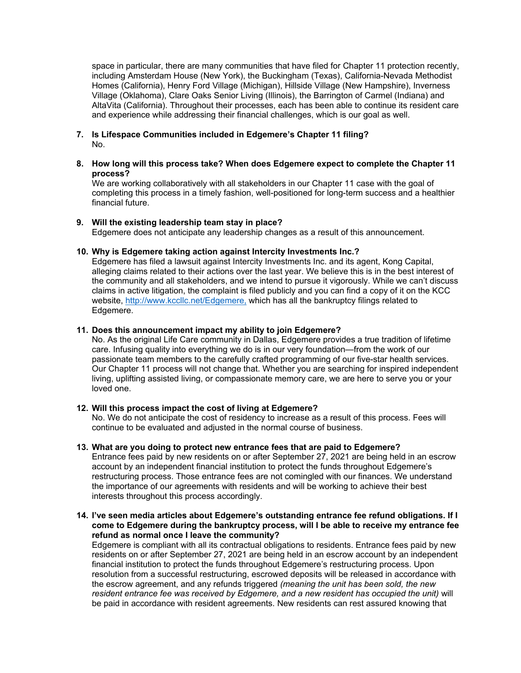space in particular, there are many communities that have filed for Chapter 11 protection recently, including Amsterdam House (New York), the Buckingham (Texas), California-Nevada Methodist Homes (California), Henry Ford Village (Michigan), Hillside Village (New Hampshire), Inverness Village (Oklahoma), Clare Oaks Senior Living (Illinois), the Barrington of Carmel (Indiana) and AltaVita (California). Throughout their processes, each has been able to continue its resident care and experience while addressing their financial challenges, which is our goal as well.

- **7. Is Lifespace Communities included in Edgemere's Chapter 11 filing?**  No.
- **8. How long will this process take? When does Edgemere expect to complete the Chapter 11 process?**

We are working collaboratively with all stakeholders in our Chapter 11 case with the goal of completing this process in a timely fashion, well-positioned for long-term success and a healthier financial future.

#### **9. Will the existing leadership team stay in place?**

Edgemere does not anticipate any leadership changes as a result of this announcement.

## **10. Why is Edgemere taking action against Intercity Investments Inc.?**

Edgemere has filed a lawsuit against Intercity Investments Inc. and its agent, Kong Capital, alleging claims related to their actions over the last year. We believe this is in the best interest of the community and all stakeholders, and we intend to pursue it vigorously. While we can't discuss claims in active litigation, the complaint is filed publicly and you can find a copy of it on the KCC website, http://www.kccllc.net/Edgemere, which has all the bankruptcy filings related to Edgemere.

#### **11. Does this announcement impact my ability to join Edgemere?**

No. As the original Life Care community in Dallas, Edgemere provides a true tradition of lifetime care. Infusing quality into everything we do is in our very foundation—from the work of our passionate team members to the carefully crafted programming of our five-star health services. Our Chapter 11 process will not change that. Whether you are searching for inspired independent living, uplifting assisted living, or compassionate memory care, we are here to serve you or your loved one.

### **12. Will this process impact the cost of living at Edgemere?**

No. We do not anticipate the cost of residency to increase as a result of this process. Fees will continue to be evaluated and adjusted in the normal course of business.

# **13. What are you doing to protect new entrance fees that are paid to Edgemere?**

Entrance fees paid by new residents on or after September 27, 2021 are being held in an escrow account by an independent financial institution to protect the funds throughout Edgemere's restructuring process. Those entrance fees are not comingled with our finances. We understand the importance of our agreements with residents and will be working to achieve their best interests throughout this process accordingly.

**14. I've seen media articles about Edgemere's outstanding entrance fee refund obligations. If I come to Edgemere during the bankruptcy process, will I be able to receive my entrance fee refund as normal once I leave the community?** 

Edgemere is compliant with all its contractual obligations to residents. Entrance fees paid by new residents on or after September 27, 2021 are being held in an escrow account by an independent financial institution to protect the funds throughout Edgemere's restructuring process. Upon resolution from a successful restructuring, escrowed deposits will be released in accordance with the escrow agreement, and any refunds triggered *(meaning the unit has been sold, the new resident entrance fee was received by Edgemere, and a new resident has occupied the unit)* will be paid in accordance with resident agreements. New residents can rest assured knowing that